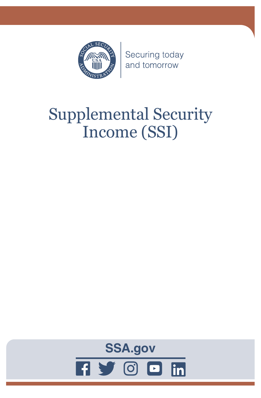

Securing today and tomorrow

# Supplemental Security Income (SSI)

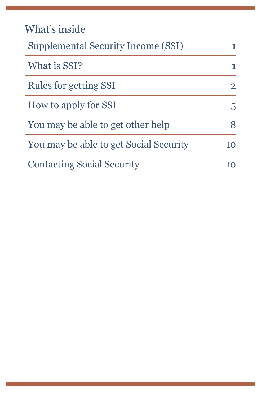| What's inside                             |                |
|-------------------------------------------|----------------|
| <b>Supplemental Security Income (SSI)</b> | 1              |
| What is SSI?                              | 1              |
| Rules for getting SSI                     | $\overline{2}$ |
| How to apply for SSI                      | 5              |
| You may be able to get other help         |                |
| You may be able to get Social Security    | 10             |
| <b>Contacting Social Security</b>         |                |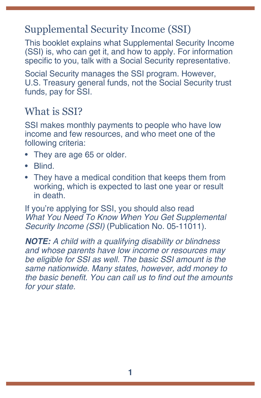# <span id="page-4-0"></span>Supplemental Security Income (SSI)

This booklet explains what Supplemental Security Income (SSI) is, who can get it, and how to apply. For information specific to you, talk with a Social Security representative.

Social Security manages the SSI program. However, U.S. Treasury general funds, not the Social Security trust funds, pay for SSI.

### What is SSI?

SSI makes monthly payments to people who have low income and few resources, and who meet one of the following criteria:

- They are age 65 or older.
- Blind.
- They have a medical condition that keeps them from working, which is expected to last one year or result in death.

If you're applying for SSI, you should also read *[What You Need To Know When You Get Supplemental](https://www.ssa.gov/pubs/EN-05-11011.pdf)  Security Income (SSI)* [\(Publication No. 05-11011\).](https://www.ssa.gov/pubs/EN-05-11011.pdf)

*NOTE: A child with a qualifying disability or blindness and whose parents have low income or resources may be eligible for SSI as well. The basic SSI amount is the same nationwide. Many states, however, add money to*  the basic benefit. You can call us to find out the amounts *for your state.*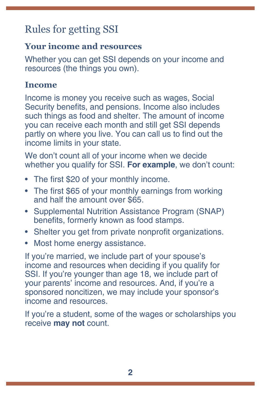# <span id="page-5-0"></span>Rules for getting SSI

#### **Your income and resources**

Whether you can get SSI depends on your income and resources (the things you own).

#### **Income**

Income is money you receive such as wages, Social Security benefits, and pensions. Income also includes such things as food and shelter. The amount of income you can receive each month and still get SSI depends partly on where you live. You can call us to find out the income limits in your state.

We don't count all of your income when we decide whether you qualify for SSI. **For example**, we don't count:

- The first \$20 of your monthly income.
- The first \$65 of your monthly earnings from working and half the amount over \$65.
- Supplemental Nutrition Assistance Program (SNAP) benefits, formerly known as food stamps.
- Shelter you get from private nonprofit organizations.
- Most home energy assistance.

If you're married, we include part of your spouse's income and resources when deciding if you qualify for SSI. If you're younger than age 18, we include part of your parents' income and resources. And, if you're a sponsored noncitizen, we may include your sponsor's income and resources.

If you're a student, some of the wages or scholarships you receive **may not** count.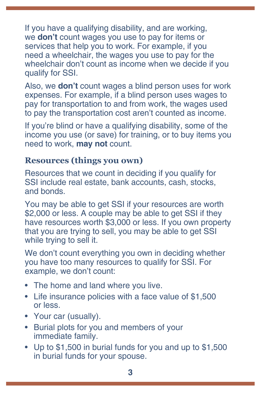If you have a qualifying disability, and are working, we **don't** count wages you use to pay for items or services that help you to work. For example, if you need a wheelchair, the wages you use to pay for the wheelchair don't count as income when we decide if you qualify for SSI.

Also, we **don't** count wages a blind person uses for work expenses. For example, if a blind person uses wages to pay for transportation to and from work, the wages used to pay the transportation cost aren't counted as income.

If you're blind or have a qualifying disability, some of the income you use (or save) for training, or to buy items you need to work, **may not** count.

#### **Resources (things you own)**

Resources that we count in deciding if you qualify for SSI include real estate, bank accounts, cash, stocks, and bonds.

You may be able to get SSI if your resources are worth \$2,000 or less. A couple may be able to get SSI if they have resources worth \$3,000 or less. If you own property that you are trying to sell, you may be able to get SSI while trying to sell it.

We don't count everything you own in deciding whether you have too many resources to qualify for SSI. For example, we don't count:

- The home and land where you live.
- Life insurance policies with a face value of \$1,500 or less.
- Your car (usually).
- Burial plots for you and members of your immediate family.
- Up to \$1,500 in burial funds for you and up to \$1,500 in burial funds for your spouse.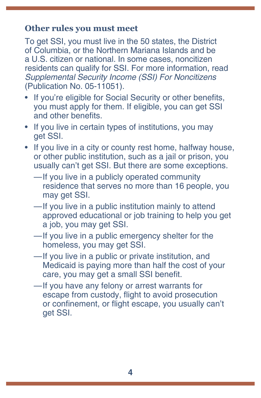#### **Other rules you must meet**

To get SSI, you must live in the 50 states, the District of Columbia, or the Northern Mariana Islands and be a U.S. citizen or national. In some cases, noncitizen residents can qualify for SSI. For more information, read *[Supplemental Security Income \(SSI\) For Noncitizens](https://www.ssa.gov/pubs/EN-05-11051.pdf)* [\(Publication No. 05-11051\)](https://www.ssa.gov/pubs/EN-05-11051.pdf).

- If you're eligible for Social Security or other benefits, you must apply for them. If eligible, you can get SSI and other benefits.
- If you live in certain types of institutions, you may get SSI.
- If you live in a city or county rest home, halfway house, or other public institution, such as a jail or prison, you usually can't get SSI. But there are some exceptions.
	- —If you live in a publicly operated community residence that serves no more than 16 people, you may get SSI.
	- —If you live in a public institution mainly to attend approved educational or job training to help you get a job, you may get SSI.
	- —If you live in a public emergency shelter for the homeless, you may get SSI.
	- —If you live in a public or private institution, and Medicaid is paying more than half the cost of your care, you may get a small SSI benefit.
	- —If you have any felony or arrest warrants for escape from custody, flight to avoid prosecution or confinement, or flight escape, you usually can't get SSI.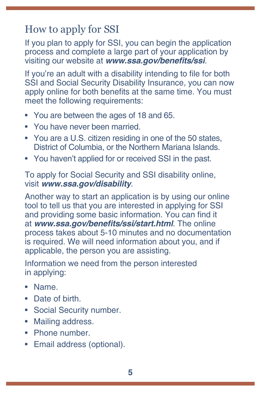# <span id="page-8-0"></span>How to apply for SSI

If you plan to apply for SSI, you can begin the application process and complete a large part of your application by visiting our website at **[www.ssa.gov/benefits/ssi](https://www.ssa.gov/benefits/ssi/)**.

If you're an adult with a disability intending to file for both SSI and Social Security Disability Insurance, you can now apply online for both benefits at the same time. You must meet the following requirements:

- You are between the ages of 18 and 65.
- You have never been married.
- You are a U.S. citizen residing in one of the 50 states, District of Columbia, or the Northern Mariana Islands.
- You haven't applied for or received SSI in the past.

To apply for Social Security and SSI disability online, visit **[www.ssa.gov/disability](https://www.ssa.gov/disability)**.

Another way to start an application is by using our online tool to tell us that you are interested in applying for SSI and providing some basic information. You can find it at **[www.ssa.gov/benefits/ssi/start.html](https://www.ssa.gov/benefits/ssi/start.html)**. The online process takes about 5-10 minutes and no documentation is required. We will need information about you, and if applicable, the person you are assisting.

Information we need from the person interested in applying:

- Name.
- Date of birth.
- Social Security number.
- Mailing address.
- Phone number.
- Email address (optional).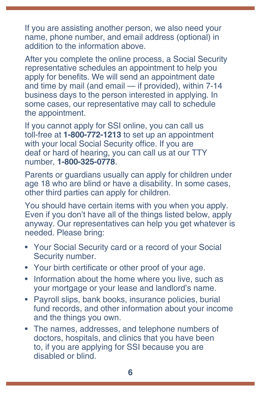If you are assisting another person, we also need your name, phone number, and email address (optional) in addition to the information above.

After you complete the online process, a Social Security representative schedules an appointment to help you apply for benefits. We will send an appointment date and time by mail (and email — if provided), within 7-14 business days to the person interested in applying. In some cases, our representative may call to schedule the appointment.

If you cannot apply for SSI online, you can call us toll-free at **1-800-772-1213** to set up an appointment with your local Social Security office. If you are deaf or hard of hearing, you can call us at our TTY number, **1-800-325-0778**.

Parents or guardians usually can apply for children under age 18 who are blind or have a disability. In some cases, other third parties can apply for children.

You should have certain items with you when you apply. Even if you don't have all of the things listed below, apply anyway. Our representatives can help you get whatever is needed. Please bring:

- Your Social Security card or a record of your Social Security number.
- Your birth certificate or other proof of your age.
- Information about the home where you live, such as your mortgage or your lease and landlord's name.
- Payroll slips, bank books, insurance policies, burial fund records, and other information about your income and the things you own.
- The names, addresses, and telephone numbers of doctors, hospitals, and clinics that you have been to, if you are applying for SSI because you are disabled or blind.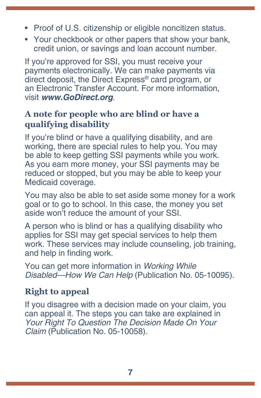- Proof of U.S. citizenship or eligible noncitizen status.
- Your checkbook or other papers that show your bank, credit union, or savings and loan account number.

If you're approved for SSI, you must receive your payments electronically. We can make payments via direct deposit, the Direct Express® card program, or an Electronic Transfer Account. For more information, visit **[www.GoDirect.org](http://www.godirect.org/)**.

#### **A note for people who are blind or have a qualifying disability**

If you're blind or have a qualifying disability, and are working, there are special rules to help you. You may be able to keep getting SSI payments while you work. As you earn more money, your SSI payments may be reduced or stopped, but you may be able to keep your Medicaid coverage.

You may also be able to set aside some money for a work goal or to go to school. In this case, the money you set aside won't reduce the amount of your SSI.

A person who is blind or has a qualifying disability who applies for SSI may get special services to help them work. These services may include counseling, job training, and help in finding work.

You can get more information in *[Working While](https://www.ssa.gov/pubs/EN-05-10095.pdf)  [Disabled—How We Can Help](https://www.ssa.gov/pubs/EN-05-10095.pdf)* (Publication No. 05-10095).

#### **Right to appeal**

If you disagree with a decision made on your claim, you can appeal it. The steps you can take are explained in *[Your Right To Question The Decision Made On Your](https://www.ssa.gov/pubs/EN-05-10058.pdf)  Claim* [\(Publication No. 05-10058\).](https://www.ssa.gov/pubs/EN-05-10058.pdf)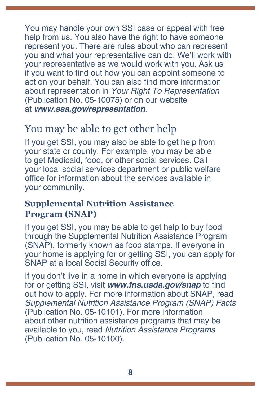<span id="page-11-0"></span>You may handle your own SSI case or appeal with free help from us. You also have the right to have someone represent you. There are rules about who can represent you and what your representative can do. We'll work with your representative as we would work with you. Ask us if you want to find out how you can appoint someone to act on your behalf. You can also find more information about representation in *[Your Right To Representation](https://www.ssa.gov/pubs/EN-05-10075.pdf)* [\(Publication No. 05-10075\)](https://www.ssa.gov/pubs/EN-05-10075.pdf) or on our website at **[www.ssa.gov/representation](https://www.ssa.gov/representation)**.

# You may be able to get other help

If you get SSI, you may also be able to get help from your state or county. For example, you may be able to get Medicaid, food, or other social services. Call your local social services department or public welfare office for information about the services available in your community.

#### **Supplemental Nutrition Assistance Program (SNAP)**

If you get SSI, you may be able to get help to buy food through the Supplemental Nutrition Assistance Program (SNAP), formerly known as food stamps. If everyone in your home is applying for or getting SSI, you can apply for SNAP at a local Social Security office.

If you don't live in a home in which everyone is applying for or getting SSI, visit **[www.fns.usda.gov/snap](http://www.fns.usda.gov/snap)** to find out how to apply. For more information about SNAP, read *[Supplemental Nutrition Assistance Program \(SNAP\) Facts](https://www.ssa.gov/pubs/EN-05-10101.pdf)* [\(Publication No. 05-10101\)](https://www.ssa.gov/pubs/EN-05-10101.pdf). For more information about other nutrition assistance programs that may be available to you, read *[Nutrition Assistance Programs](https://www.ssa.gov/pubs/EN-05-10100.pdf)*  [\(Publication No. 05-10100\)](https://www.ssa.gov/pubs/EN-05-10100.pdf).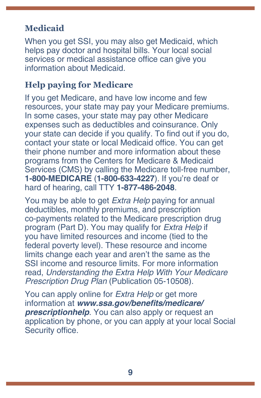#### **Medicaid**

When you get SSI, you may also get Medicaid, which helps pay doctor and hospital bills. Your local social services or medical assistance office can give you information about Medicaid.

#### **Help paying for Medicare**

If you get Medicare, and have low income and few resources, your state may pay your Medicare premiums. In some cases, your state may pay other Medicare expenses such as deductibles and coinsurance. Only your state can decide if you qualify. To find out if you do, contact your state or local Medicaid office. You can get their phone number and more information about these programs from the Centers for Medicare & Medicaid Services (CMS) by calling the Medicare toll-free number, **1-800-MEDICARE** (**1-800-633-4227**). If you're deaf or hard of hearing, call TTY **1-877-486-2048**.

You may be able to get *Extra Help* paying for annual deductibles, monthly premiums, and prescription co-payments related to the Medicare prescription drug program (Part D). You may qualify for *Extra Help* if you have limited resources and income (tied to the federal poverty level). These resource and income limits change each year and aren't the same as the SSI income and resource limits. For more information read, *[Understanding the Extra Help With Your Medicare](https://www.ssa.gov/pubs/EN-05-10508.pdf)  Prescription Drug Plan* [\(Publication 05-10508\)](https://www.ssa.gov/pubs/EN-05-10508.pdf).

You can apply online for *Extra Help* or get more information at **[www.ssa.gov/benefits/medicare/](https://www.ssa.gov/benefits/medicare/prescriptionhelp/) [prescriptionhelp](https://www.ssa.gov/benefits/medicare/prescriptionhelp/)**. You can also apply or request an application by phone, or you can apply at your local Social Security office.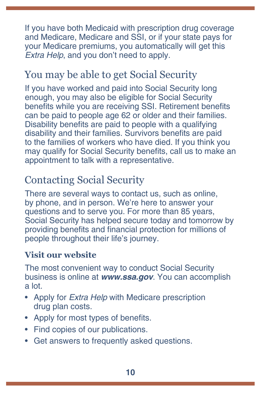<span id="page-13-0"></span>If you have both Medicaid with prescription drug coverage and Medicare, Medicare and SSI, or if your state pays for your Medicare premiums, you automatically will get this *Extra Help*, and you don't need to apply.

## You may be able to get Social Security

If you have worked and paid into Social Security long enough, you may also be eligible for Social Security benefits while you are receiving SSI. Retirement benefits can be paid to people age 62 or older and their families. Disability benefits are paid to people with a qualifying disability and their families. Survivors benefits are paid to the families of workers who have died. If you think you may qualify for Social Security benefits, call us to make an appointment to talk with a representative.

# Contacting Social Security

There are several ways to contact us, such as online, by phone, and in person. We're here to answer your questions and to serve you. For more than 85 years, Social Security has helped secure today and tomorrow by providing benefits and financial protection for millions of people throughout their life's journey.

#### **Visit our website**

The most convenient way to conduct Social Security business is online at *[www.ssa.gov](https://www.ssa.gov)*. You can accomplish a lot.

- Apply for *Extra Help* [with Medicare prescription](https://www.ssa.gov/i1020/)  [drug plan costs](https://www.ssa.gov/i1020/).
- Apply for most types of [benefits](https://www.ssa.gov/applyforbenefits).
- Find copies of our [publications](https://www.ssa.gov/pubs/).
- Get answers to [frequently asked questions.](https://faq.ssa.gov/)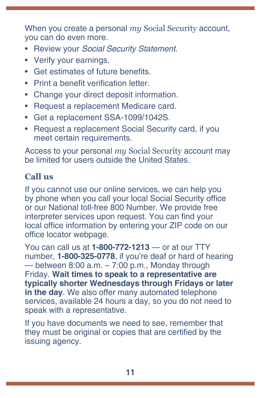When you create a personal *my* [Social Security](https://www.ssa.gov/myaccount/) account, you can do even more.

- Review your *[Social Security Statement](https://www.ssa.gov/myaccount/statement.html)*.
- Verify [your earnings.](https://faq.ssa.gov/en-us/Topic/article/KA-01741)
- Get estimates of future benefits.
- Print a [benefit verification letter](https://www.ssa.gov/myaccount/proof-of-benefits.html).
- Change your [direct deposit](https://www.ssa.gov/myaccount/direct-deposit.html) information.
- Request a [replacement Medicare card](https://faq.ssa.gov/en-us/Topic/article/KA-01735).
- Get a [replacement SSA-1099/1042S](https://www.ssa.gov/myaccount/replacement-SSA-1099.html).
- Request a [replacement Social Security card](https://www.ssa.gov/myaccount/replacement-card.html), if you meet certain requirements.

Access to your personal *my* Social Security account may be limited for users outside the United States.

#### **Call us**

If you cannot use our online services, we can help you by phone when you call your local Social Security office or our National toll-free 800 Number. We provide free interpreter services upon request. You can find your local office information by entering your ZIP code on our [office locator](https://secure.ssa.gov/ICON/main.jsp) webpage.

You can call us at **1-800-772-1213** — or at our TTY number, **1-800-325-0778**, if you're deaf or hard of hearing  $-$  between 8:00 a.m.  $-7:00$  p.m., Monday through Friday. **Wait times to speak to a representative are typically shorter Wednesdays through Fridays or later in the day**. We also offer many automated telephone services, available 24 hours a day, so you do not need to speak with a representative.

If you have documents we need to see, remember that they must be original or copies that are certified by the issuing agency.